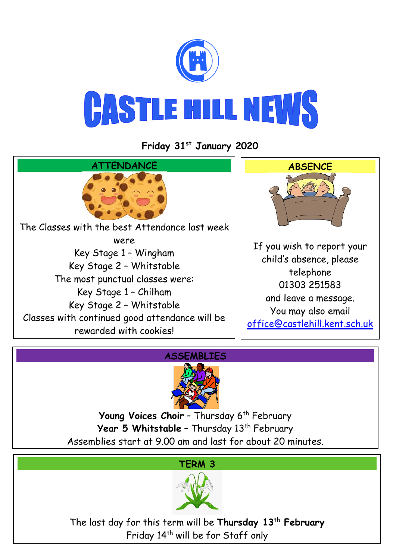

**Friday 31st January 2020**





Young Voices Choir - Thursday 6<sup>th</sup> February Year 5 Whitstable - Thursday 13<sup>th</sup> February Assemblies start at 9.00 am and last for about 20 minutes.



The last day for this term will be **Thursday 13th February** Friday 14<sup>th</sup> will be for Staff only